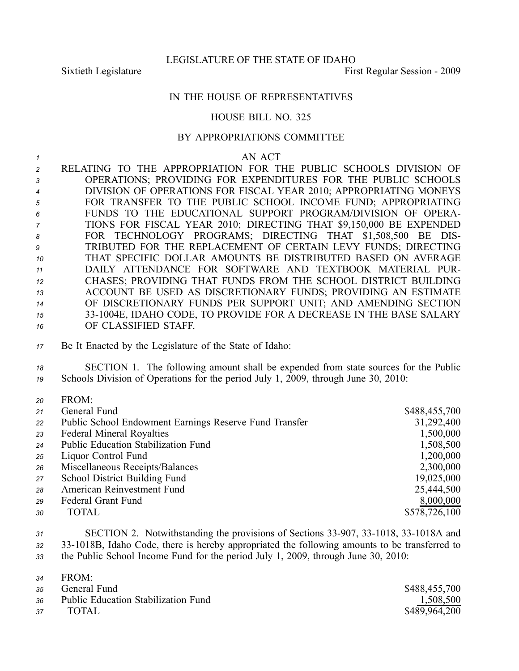LEGISLATURE OF THE STATE OF IDAHO

Sixtieth Legislature First Regular Session - 2009

## IN THE HOUSE OF REPRESENTATIVES

## HOUSE BILL NO. 325

## BY APPROPRIATIONS COMMITTEE

*1* AN ACT

 RELATING TO THE APPROPRIATION FOR THE PUBLIC SCHOOLS DIVISION OF OPERATIONS; PROVIDING FOR EXPENDITURES FOR THE PUBLIC SCHOOLS DIVISION OF OPERATIONS FOR FISCAL YEAR 2010; APPROPRIATING MONEYS FOR TRANSFER TO THE PUBLIC SCHOOL INCOME FUND; APPROPRIATING FUNDS TO THE EDUCATIONAL SUPPORT PROGRAM/DIVISION OF OPERA- TIONS FOR FISCAL YEAR 2010; DIRECTING THAT \$9,150,000 BE EXPENDED FOR TECHNOLOGY PROGRAMS; DIRECTING THAT \$1,508,500 BE DIS- TRIBUTED FOR THE REPLACEMENT OF CERTAIN LEVY FUNDS; DIRECTING THAT SPECIFIC DOLLAR AMOUNTS BE DISTRIBUTED BASED ON AVERAGE DAILY ATTENDANCE FOR SOFTWARE AND TEXTBOOK MATERIAL PUR- CHASES; PROVIDING THAT FUNDS FROM THE SCHOOL DISTRICT BUILDING ACCOUNT BE USED AS DISCRETIONARY FUNDS; PROVIDING AN ESTIMATE OF DISCRETIONARY FUNDS PER SUPPORT UNIT; AND AMENDING SECTION 331004E, IDAHO CODE, TO PROVIDE FOR A DECREASE IN THE BASE SALARY OF CLASSIFIED STAFF.

*<sup>17</sup>* Be It Enacted by the Legislature of the State of Idaho:

*<sup>18</sup>* SECTION 1. The following amount shall be expended from state sources for the Public *<sup>19</sup>* Schools Division of Operations for the period July 1, 2009, through June 30, 2010:

| 20 | FKUM.                                                  |               |
|----|--------------------------------------------------------|---------------|
| 21 | General Fund                                           | \$488,455,700 |
| 22 | Public School Endowment Earnings Reserve Fund Transfer | 31,292,400    |
| 23 | <b>Federal Mineral Royalties</b>                       | 1,500,000     |
| 24 | Public Education Stabilization Fund                    | 1,508,500     |
| 25 | Liquor Control Fund                                    | 1,200,000     |
| 26 | Miscellaneous Receipts/Balances                        | 2,300,000     |
| 27 | School District Building Fund                          | 19,025,000    |
| 28 | American Reinvestment Fund                             | 25,444,500    |
| 29 | Federal Grant Fund                                     | 8,000,000     |
| 30 | TOTAL                                                  | \$578,726,100 |
|    |                                                        |               |

31 **SECTION 2.** Notwithstanding the provisions of Sections 33-907, 33-1018, 33-1018A and *<sup>32</sup>* 331018B, Idaho Code, there is hereby appropriated the following amounts to be transferred to

*<sup>33</sup>* the Public School Income Fund for the period July 1, 2009, through June 30, 2010:

| 34 | FROM: |  |  |
|----|-------|--|--|
|    |       |  |  |

 $200M$ 

|    | 35 General Fund                        | \$488,455,700 |
|----|----------------------------------------|---------------|
|    | 36 Public Education Stabilization Fund | 1,508,500     |
| 37 | TOTAL                                  | \$489,964,200 |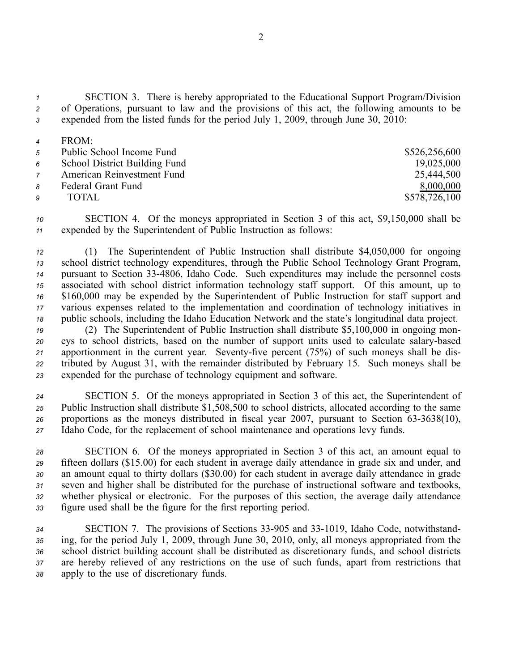*<sup>1</sup>* SECTION 3. There is hereby appropriated to the Educational Support Program/Division *<sup>2</sup>* of Operations, pursuan<sup>t</sup> to law and the provisions of this act, the following amounts to be *<sup>3</sup>* expended from the listed funds for the period July 1, 2009, through June 30, 2010:

*<sup>4</sup>* FROM: Public School Income Fund \$526,256,600 School District Building Fund 19,025,000 American Reinvestment Fund 25,444,500 8 Federal Grant Fund 8,000,000 TOTAL \$578,726,100

*<sup>10</sup>* SECTION 4. Of the moneys appropriated in Section 3 of this act, \$9,150,000 shall be *<sup>11</sup>* expended by the Superintendent of Public Instruction as follows:

 (1) The Superintendent of Public Instruction shall distribute \$4,050,000 for ongoing school district technology expenditures, through the Public School Technology Grant Program, pursuan<sup>t</sup> to Section 334806, Idaho Code. Such expenditures may include the personnel costs associated with school district information technology staff support. Of this amount, up to \$160,000 may be expended by the Superintendent of Public Instruction for staff suppor<sup>t</sup> and various expenses related to the implementation and coordination of technology initiatives in public schools, including the Idaho Education Network and the state's longitudinal data project.

 (2) The Superintendent of Public Instruction shall distribute \$5,100,000 in ongoing mon- eys to school districts, based on the number of suppor<sup>t</sup> units used to calculate salarybased 21 apportionment in the current year. Seventy-five percent (75%) of such moneys shall be dis- tributed by August 31, with the remainder distributed by February 15. Such moneys shall be expended for the purchase of technology equipment and software.

 SECTION 5. Of the moneys appropriated in Section 3 of this act, the Superintendent of Public Instruction shall distribute \$1,508,500 to school districts, allocated according to the same 26 proportions as the moneys distributed in fiscal year 2007, pursuant to Section 63-3638(10), Idaho Code, for the replacement of school maintenance and operations levy funds.

 SECTION 6. Of the moneys appropriated in Section 3 of this act, an amount equal to fifteen dollars (\$15.00) for each student in average daily attendance in grade six and under, and an amount equal to thirty dollars (\$30.00) for each student in average daily attendance in grade seven and higher shall be distributed for the purchase of instructional software and textbooks, whether physical or electronic. For the purposes of this section, the average daily attendance figure used shall be the figure for the first reporting period.

34 SECTION 7. The provisions of Sections 33-905 and 33-1019, Idaho Code, notwithstand- ing, for the period July 1, 2009, through June 30, 2010, only, all moneys appropriated from the school district building account shall be distributed as discretionary funds, and school districts are hereby relieved of any restrictions on the use of such funds, apar<sup>t</sup> from restrictions that apply to the use of discretionary funds.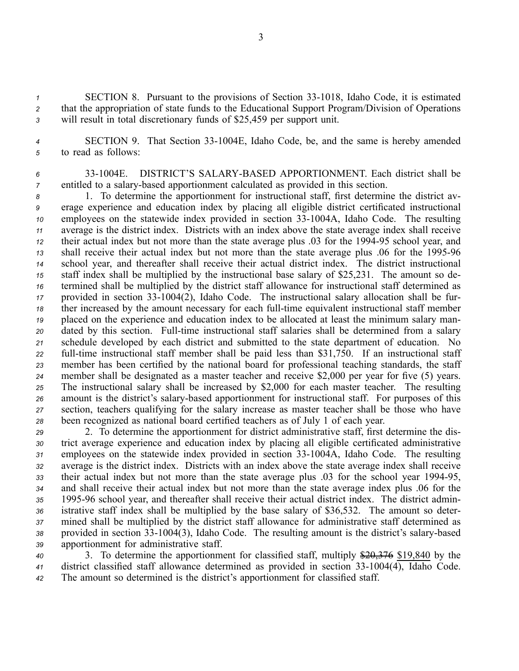1 SECTION 8. Pursuant to the provisions of Section 33-1018, Idaho Code, it is estimated *<sup>2</sup>* that the appropriation of state funds to the Educational Support Program/Division of Operations *<sup>3</sup>* will result in total discretionary funds of \$25,459 per suppor<sup>t</sup> unit.

*<sup>4</sup>* SECTION 9. That Section 331004E, Idaho Code, be, and the same is hereby amended *<sup>5</sup>* to read as follows:

*<sup>6</sup>* 331004E. DISTRICT'S SALARYBASED APPORTIONMENT. Each district shall be *7* entitled to a salary-based apportionment calculated as provided in this section.

 1. To determine the apportionment for instructional staff, first determine the district av- erage experience and education index by placing all eligible district certificated instructional employees on the statewide index provided in section 33-1004A, Idaho Code. The resulting average is the district index. Districts with an index above the state average index shall receive their actual index but not more than the state average plus .03 for the 199495 school year, and 13 shall receive their actual index but not more than the state average plus .06 for the 1995-96 school year, and thereafter shall receive their actual district index. The district instructional staff index shall be multiplied by the instructional base salary of \$25,231. The amount so de- termined shall be multiplied by the district staff allowance for instructional staff determined as provided in section 331004(2), Idaho Code. The instructional salary allocation shall be fur- ther increased by the amount necessary for each full-time equivalent instructional staff member placed on the experience and education index to be allocated at least the minimum salary man- dated by this section. Full-time instructional staff salaries shall be determined from a salary schedule developed by each district and submitted to the state department of education. No 22 full-time instructional staff member shall be paid less than \$31,750. If an instructional staff member has been certified by the national board for professional teaching standards, the staff member shall be designated as <sup>a</sup> master teacher and receive \$2,000 per year for five (5) years. The instructional salary shall be increased by \$2,000 for each master teacher. The resulting 26 amount is the district's salary-based apportionment for instructional staff. For purposes of this section, teachers qualifying for the salary increase as master teacher shall be those who have been recognized as national board certified teachers as of July 1 of each year.

 2. To determine the apportionment for district administrative staff, first determine the dis- trict average experience and education index by placing all eligible certificated administrative 31 employees on the statewide index provided in section 33-1004A, Idaho Code. The resulting average is the district index. Districts with an index above the state average index shall receive 33 their actual index but not more than the state average plus .03 for the school year 1994-95, and shall receive their actual index but not more than the state average index plus .06 for the 199596 school year, and thereafter shall receive their actual district index. The district admin- istrative staff index shall be multiplied by the base salary of \$36,532. The amount so deter- mined shall be multiplied by the district staff allowance for administrative staff determined as 38 provided in section 33-1004(3), Idaho Code. The resulting amount is the district's salary-based apportionment for administrative staff.

*<sup>40</sup>* 3. To determine the apportionment for classified staff, multiply \$20,376 \$19,840 by the *41* district classified staff allowance determined as provided in section 33-1004(4), Idaho Code. *<sup>42</sup>* The amount so determined is the district's apportionment for classified staff.